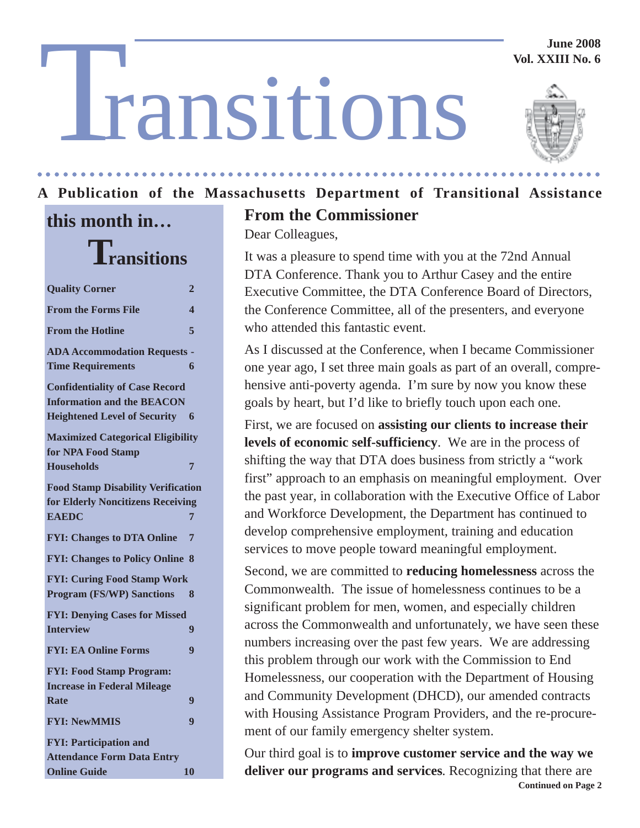#### **June 2008 Vol. XXIII No. 6**

# T ransitions



#### **A Publication of the Massachusetts Department of Transitional Assistance** ○○○○○○○○○○○○○○○ ○○○○○○○○○○○○○○○○○○○○○○○○○○○○○○○○○○○○○○○○○○○○○○○○○○○

## **this month in… Transitions**

| <b>Quality Corner</b>                                                                                             | 2                       |
|-------------------------------------------------------------------------------------------------------------------|-------------------------|
| <b>From the Forms File</b>                                                                                        | $\overline{\mathbf{4}}$ |
| <b>From the Hotline</b>                                                                                           | 5                       |
| <b>ADA Accommodation Requests -</b><br><b>Time Requirements</b>                                                   | 6                       |
| <b>Confidentiality of Case Record</b><br><b>Information and the BEACON</b><br><b>Heightened Level of Security</b> | 6                       |
| <b>Maximized Categorical Eligibility</b><br>for NPA Food Stamp                                                    |                         |
| <b>Households</b>                                                                                                 | 7                       |
| <b>Food Stamp Disability Verification</b><br>for Elderly Noncitizens Receiving                                    |                         |
| <b>EAEDC</b>                                                                                                      | 7                       |
| <b>FYI: Changes to DTA Online</b>                                                                                 | 7                       |
| <b>FYI: Changes to Policy Online</b>                                                                              | 8                       |
| <b>FYI: Curing Food Stamp Work</b>                                                                                |                         |
| <b>Program (FS/WP) Sanctions</b>                                                                                  | 8                       |
| <b>FYI: Denying Cases for Missed</b>                                                                              |                         |
| <b>Interview</b>                                                                                                  | 9                       |
| <b>FYI: EA Online Forms</b>                                                                                       | 9                       |
| <b>FYI: Food Stamp Program:</b><br><b>Increase in Federal Mileage</b>                                             |                         |
| <b>Rate</b>                                                                                                       | 9                       |
| <b>FYI: NewMMIS</b>                                                                                               | 9                       |
| <b>FYI: Participation and</b><br><b>Attendance Form Data Entry</b>                                                |                         |
| <b>Online Guide</b>                                                                                               | 10                      |

## **From the Commissioner**

Dear Colleagues,

It was a pleasure to spend time with you at the 72nd Annual DTA Conference. Thank you to Arthur Casey and the entire Executive Committee, the DTA Conference Board of Directors, the Conference Committee, all of the presenters, and everyone who attended this fantastic event.

As I discussed at the Conference, when I became Commissioner one year ago, I set three main goals as part of an overall, comprehensive anti-poverty agenda. I'm sure by now you know these goals by heart, but I'd like to briefly touch upon each one.

First, we are focused on **assisting our clients to increase their levels of economic self-sufficiency**. We are in the process of shifting the way that DTA does business from strictly a "work first" approach to an emphasis on meaningful employment. Over the past year, in collaboration with the Executive Office of Labor and Workforce Development, the Department has continued to develop comprehensive employment, training and education services to move people toward meaningful employment.

Second, we are committed to **reducing homelessness** across the Commonwealth. The issue of homelessness continues to be a significant problem for men, women, and especially children across the Commonwealth and unfortunately, we have seen these numbers increasing over the past few years. We are addressing this problem through our work with the Commission to End Homelessness, our cooperation with the Department of Housing and Community Development (DHCD), our amended contracts with Housing Assistance Program Providers, and the re-procurement of our family emergency shelter system.

**Continued on Page 2** Our third goal is to **improve customer service and the way we deliver our programs and services**. Recognizing that there are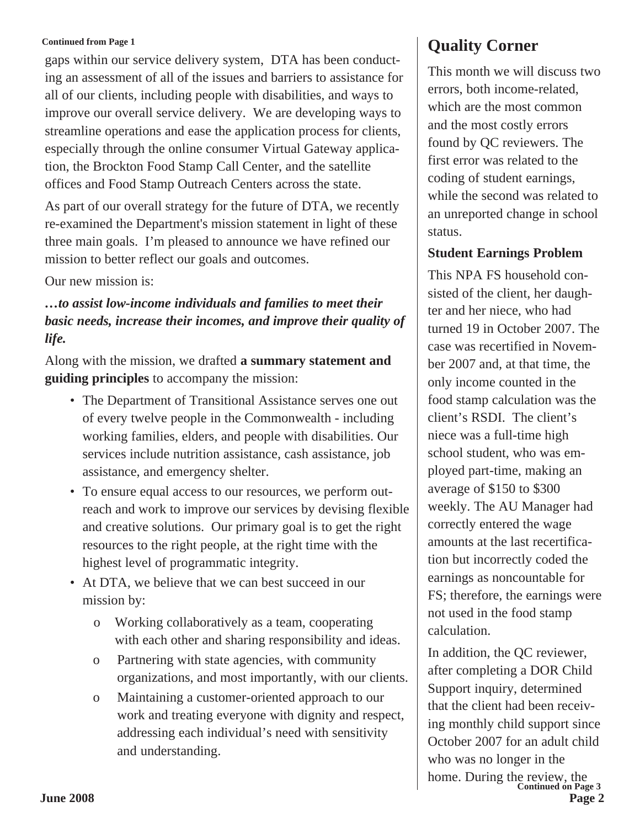gaps within our service delivery system, DTA has been conducting an assessment of all of the issues and barriers to assistance for all of our clients, including people with disabilities, and ways to improve our overall service delivery. We are developing ways to streamline operations and ease the application process for clients, especially through the online consumer Virtual Gateway application, the Brockton Food Stamp Call Center, and the satellite offices and Food Stamp Outreach Centers across the state.

As part of our overall strategy for the future of DTA, we recently re-examined the Department's mission statement in light of these three main goals. I'm pleased to announce we have refined our mission to better reflect our goals and outcomes.

Our new mission is:

*…to assist low-income individuals and families to meet their basic needs, increase their incomes, and improve their quality of life.*

Along with the mission, we drafted **a summary statement and guiding principles** to accompany the mission:

- The Department of Transitional Assistance serves one out of every twelve people in the Commonwealth - including working families, elders, and people with disabilities. Our services include nutrition assistance, cash assistance, job assistance, and emergency shelter.
- To ensure equal access to our resources, we perform outreach and work to improve our services by devising flexible and creative solutions. Our primary goal is to get the right resources to the right people, at the right time with the highest level of programmatic integrity.
- At DTA, we believe that we can best succeed in our mission by:
	- o Working collaboratively as a team, cooperating with each other and sharing responsibility and ideas.
	- o Partnering with state agencies, with community organizations, and most importantly, with our clients.
	- o Maintaining a customer-oriented approach to our work and treating everyone with dignity and respect, addressing each individual's need with sensitivity and understanding.

## **Quality Corner**

This month we will discuss two errors, both income-related, which are the most common and the most costly errors found by QC reviewers. The first error was related to the coding of student earnings, while the second was related to an unreported change in school status.

#### **Student Earnings Problem**

This NPA FS household consisted of the client, her daughter and her niece, who had turned 19 in October 2007. The case was recertified in November 2007 and, at that time, the only income counted in the food stamp calculation was the client's RSDI. The client's niece was a full-time high school student, who was employed part-time, making an average of \$150 to \$300 weekly. The AU Manager had correctly entered the wage amounts at the last recertification but incorrectly coded the earnings as noncountable for FS; therefore, the earnings were not used in the food stamp calculation.

**June 2008 Page 2** home. During the review, the<br> **Continued on Page 3** In addition, the QC reviewer, after completing a DOR Child Support inquiry, determined that the client had been receiving monthly child support since October 2007 for an adult child who was no longer in the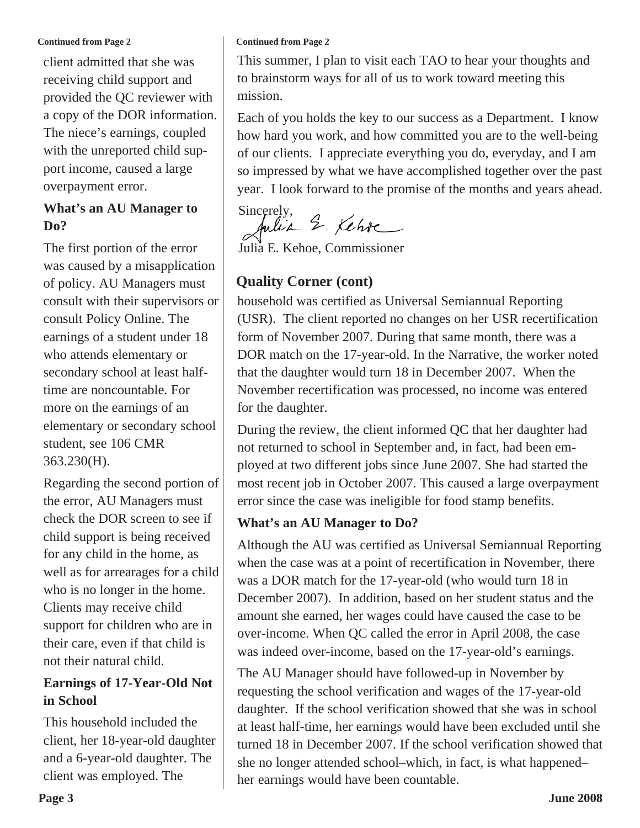client admitted that she was receiving child support and provided the QC reviewer with a copy of the DOR information. The niece's earnings, coupled with the unreported child support income, caused a large overpayment error.

#### **What's an AU Manager to Do?**

The first portion of the error was caused by a misapplication of policy. AU Managers must consult with their supervisors or consult Policy Online. The earnings of a student under 18 who attends elementary or secondary school at least halftime are noncountable. For more on the earnings of an elementary or secondary school student, see 106 CMR 363.230(H).

Regarding the second portion of the error, AU Managers must check the DOR screen to see if child support is being received for any child in the home, as well as for arrearages for a child who is no longer in the home. Clients may receive child support for children who are in their care, even if that child is not their natural child.

#### **Earnings of 17-Year-Old Not in School**

This household included the client, her 18-year-old daughter and a 6-year-old daughter. The client was employed. The

#### **Continued from Page 2**

This summer, I plan to visit each TAO to hear your thoughts and to brainstorm ways for all of us to work toward meeting this mission.

Each of you holds the key to our success as a Department. I know how hard you work, and how committed you are to the well-being of our clients. I appreciate everything you do, everyday, and I am so impressed by what we have accomplished together over the past year. I look forward to the promise of the months and years ahead.

Sincerely,<br>Julia 2. Kehre

Julia E. Kehoe, Commissioner

#### **Quality Corner (cont)**

household was certified as Universal Semiannual Reporting (USR). The client reported no changes on her USR recertification form of November 2007. During that same month, there was a DOR match on the 17-year-old. In the Narrative, the worker noted that the daughter would turn 18 in December 2007. When the November recertification was processed, no income was entered for the daughter.

During the review, the client informed QC that her daughter had not returned to school in September and, in fact, had been employed at two different jobs since June 2007. She had started the most recent job in October 2007. This caused a large overpayment error since the case was ineligible for food stamp benefits.

#### **What's an AU Manager to Do?**

Although the AU was certified as Universal Semiannual Reporting when the case was at a point of recertification in November, there was a DOR match for the 17-year-old (who would turn 18 in December 2007). In addition, based on her student status and the amount she earned, her wages could have caused the case to be over-income. When QC called the error in April 2008, the case was indeed over-income, based on the 17-year-old's earnings.

The AU Manager should have followed-up in November by requesting the school verification and wages of the 17-year-old daughter. If the school verification showed that she was in school at least half-time, her earnings would have been excluded until she turned 18 in December 2007. If the school verification showed that she no longer attended school–which, in fact, is what happened– her earnings would have been countable.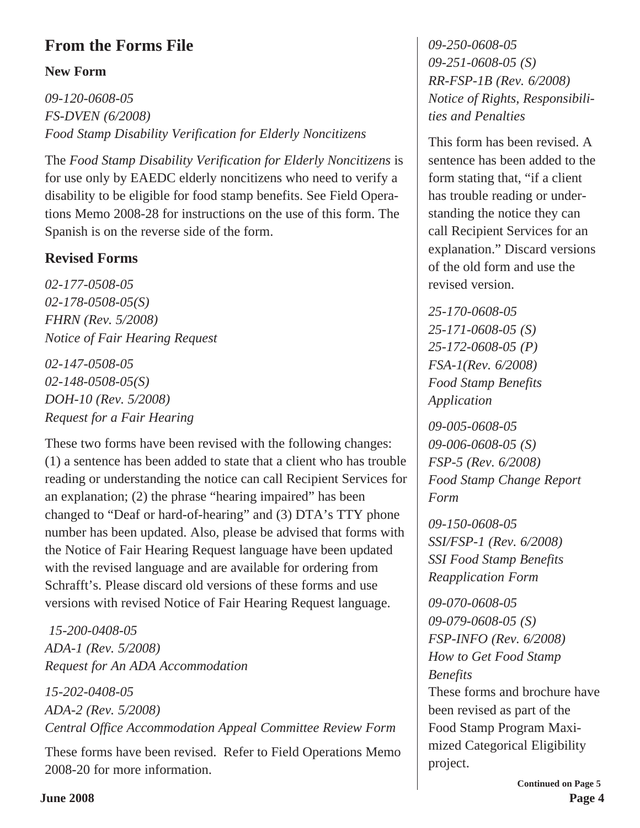## **From the Forms File**

#### **New Form**

*09-120-0608-05 FS-DVEN (6/2008) Food Stamp Disability Verification for Elderly Noncitizens*

The *Food Stamp Disability Verification for Elderly Noncitizens* is for use only by EAEDC elderly noncitizens who need to verify a disability to be eligible for food stamp benefits. See Field Operations Memo 2008-28 for instructions on the use of this form. The Spanish is on the reverse side of the form.

## **Revised Forms**

*02-177-0508-05 02-178-0508-05(S) FHRN (Rev. 5/2008) Notice of Fair Hearing Request*

*02-147-0508-05 02-148-0508-05(S) DOH-10 (Rev. 5/2008) Request for a Fair Hearing*

These two forms have been revised with the following changes: (1) a sentence has been added to state that a client who has trouble reading or understanding the notice can call Recipient Services for an explanation; (2) the phrase "hearing impaired" has been changed to "Deaf or hard-of-hearing" and (3) DTA's TTY phone number has been updated. Also, please be advised that forms with the Notice of Fair Hearing Request language have been updated with the revised language and are available for ordering from Schrafft's. Please discard old versions of these forms and use versions with revised Notice of Fair Hearing Request language.

*15-200-0408-05 ADA-1 (Rev. 5/2008) Request for An ADA Accommodation*

*15-202-0408-05 ADA-2 (Rev. 5/2008) Central Office Accommodation Appeal Committee Review Form*

These forms have been revised. Refer to Field Operations Memo 2008-20 for more information.

*09-250-0608-05 09-251-0608-05 (S) RR-FSP-1B (Rev. 6/2008) Notice of Rights, Responsibilities and Penalties*

This form has been revised. A sentence has been added to the form stating that, "if a client has trouble reading or understanding the notice they can call Recipient Services for an explanation." Discard versions of the old form and use the revised version.

*25-170-0608-05 25-171-0608-05 (S) 25-172-0608-05 (P) FSA-1(Rev. 6/2008) Food Stamp Benefits Application*

*09-005-0608-05 09-006-0608-05 (S) FSP-5 (Rev. 6/2008) Food Stamp Change Report Form*

*09-150-0608-05 SSI/FSP-1 (Rev. 6/2008) SSI Food Stamp Benefits Reapplication Form*

*09-070-0608-05 09-079-0608-05 (S) FSP-INFO (Rev. 6/2008) How to Get Food Stamp Benefits* These forms and brochure have been revised as part of the Food Stamp Program Maximized Categorical Eligibility project.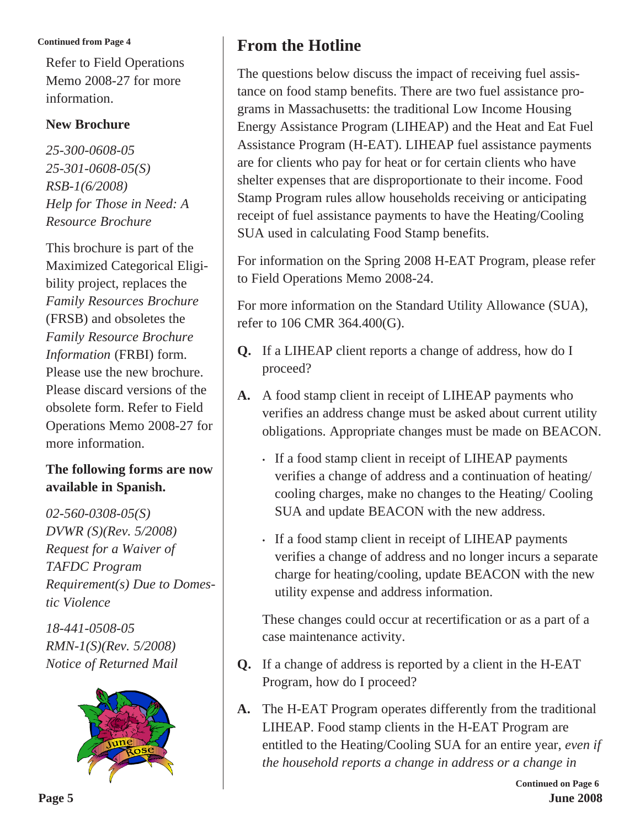Refer to Field Operations Memo 2008-27 for more information.

#### **New Brochure**

*25-300-0608-05 25-301-0608-05(S) RSB-1(6/2008) Help for Those in Need: A Resource Brochure*

This brochure is part of the Maximized Categorical Eligibility project, replaces the *Family Resources Brochure* (FRSB) and obsoletes the *Family Resource Brochure Information* (FRBI) form. Please use the new brochure. Please discard versions of the obsolete form. Refer to Field Operations Memo 2008-27 for more information.

#### **The following forms are now available in Spanish.**

*02-560-0308-05(S) DVWR (S)(Rev. 5/2008) Request for a Waiver of TAFDC Program Requirement(s) Due to Domestic Violence*

*18-441-0508-05 RMN-1(S)(Rev. 5/2008) Notice of Returned Mail*



## **From the Hotline**

The questions below discuss the impact of receiving fuel assistance on food stamp benefits. There are two fuel assistance programs in Massachusetts: the traditional Low Income Housing Energy Assistance Program (LIHEAP) and the Heat and Eat Fuel Assistance Program (H-EAT). LIHEAP fuel assistance payments are for clients who pay for heat or for certain clients who have shelter expenses that are disproportionate to their income. Food Stamp Program rules allow households receiving or anticipating receipt of fuel assistance payments to have the Heating/Cooling SUA used in calculating Food Stamp benefits.

For information on the Spring 2008 H-EAT Program, please refer to Field Operations Memo 2008-24.

For more information on the Standard Utility Allowance (SUA), refer to 106 CMR 364.400(G).

- **Q.** If a LIHEAP client reports a change of address, how do I proceed?
- **A.** A food stamp client in receipt of LIHEAP payments who verifies an address change must be asked about current utility obligations. Appropriate changes must be made on BEACON.
	- If a food stamp client in receipt of LIHEAP payments verifies a change of address and a continuation of heating/ cooling charges, make no changes to the Heating/ Cooling SUA and update BEACON with the new address.
	- If a food stamp client in receipt of LIHEAP payments verifies a change of address and no longer incurs a separate charge for heating/cooling, update BEACON with the new utility expense and address information.

These changes could occur at recertification or as a part of a case maintenance activity.

- **Q.** If a change of address is reported by a client in the H-EAT Program, how do I proceed?
- **A.** The H-EAT Program operates differently from the traditional LIHEAP. Food stamp clients in the H-EAT Program are entitled to the Heating/Cooling SUA for an entire year, *even if the household reports a change in address or a change in*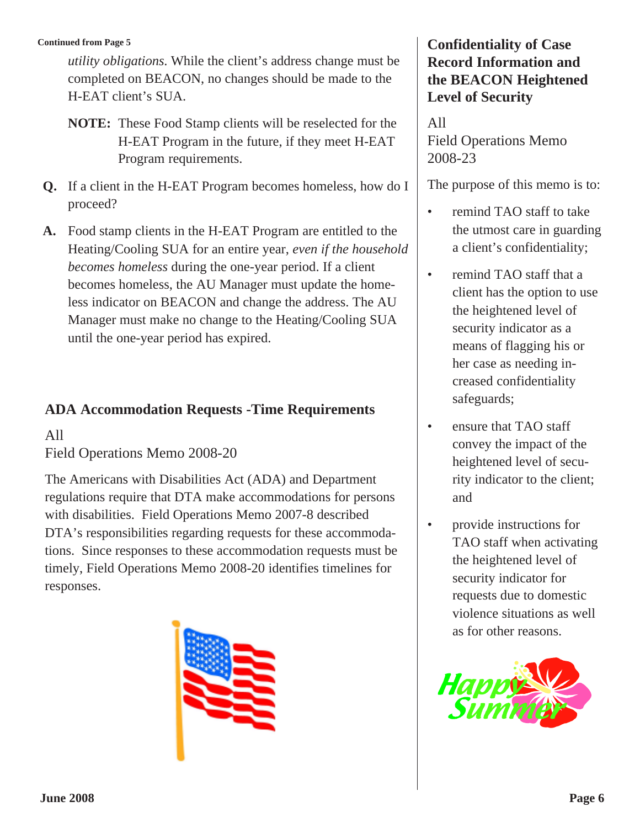*utility obligations*. While the client's address change must be completed on BEACON, no changes should be made to the H-EAT client's SUA.

- **NOTE:** These Food Stamp clients will be reselected for the H-EAT Program in the future, if they meet H-EAT Program requirements.
- **Q.** If a client in the H-EAT Program becomes homeless, how do I proceed?
- **A.** Food stamp clients in the H-EAT Program are entitled to the Heating/Cooling SUA for an entire year, *even if the household becomes homeless* during the one-year period. If a client becomes homeless, the AU Manager must update the homeless indicator on BEACON and change the address. The AU Manager must make no change to the Heating/Cooling SUA until the one-year period has expired.

#### **ADA Accommodation Requests -Time Requirements**

All

Field Operations Memo 2008-20

The Americans with Disabilities Act (ADA) and Department regulations require that DTA make accommodations for persons with disabilities. Field Operations Memo 2007-8 described DTA's responsibilities regarding requests for these accommodations. Since responses to these accommodation requests must be timely, Field Operations Memo 2008-20 identifies timelines for responses.



#### **Confidentiality of Case Record Information and the BEACON Heightened Level of Security**

All Field Operations Memo 2008-23

The purpose of this memo is to:

- remind TAO staff to take the utmost care in guarding a client's confidentiality;
- remind TAO staff that a client has the option to use the heightened level of security indicator as a means of flagging his or her case as needing increased confidentiality safeguards;
- ensure that TAO staff convey the impact of the heightened level of security indicator to the client; and
- provide instructions for TAO staff when activating the heightened level of security indicator for requests due to domestic violence situations as well as for other reasons.

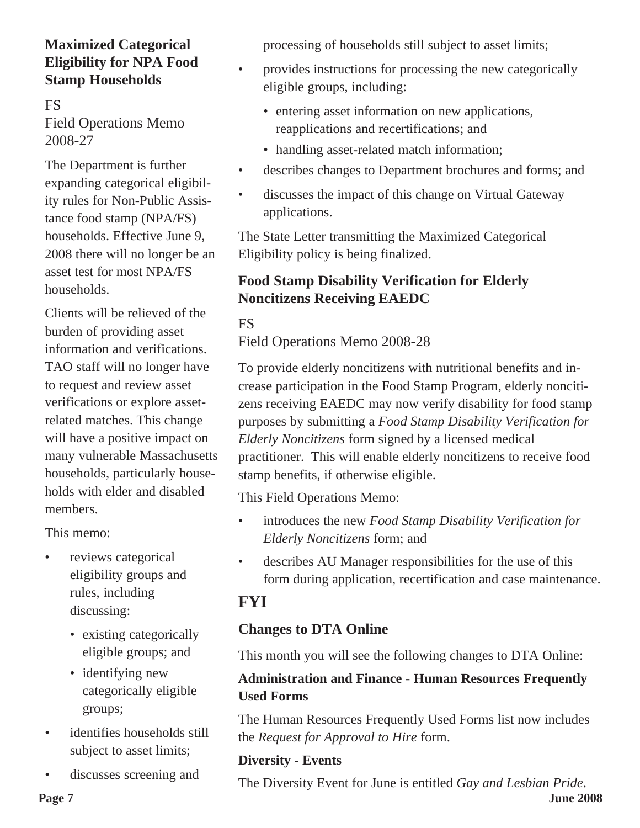## **Maximized Categorical Eligibility for NPA Food Stamp Households**

FS Field Operations Memo 2008-27

The Department is further expanding categorical eligibility rules for Non-Public Assistance food stamp (NPA/FS) households. Effective June 9, 2008 there will no longer be an asset test for most NPA/FS households.

Clients will be relieved of the burden of providing asset information and verifications. TAO staff will no longer have to request and review asset verifications or explore assetrelated matches. This change will have a positive impact on many vulnerable Massachusetts households, particularly households with elder and disabled members.

This memo:

- reviews categorical eligibility groups and rules, including discussing:
	- existing categorically eligible groups; and
	- identifying new categorically eligible groups;
- identifies households still subject to asset limits;
- discusses screening and

processing of households still subject to asset limits;

- provides instructions for processing the new categorically eligible groups, including:
	- entering asset information on new applications, reapplications and recertifications; and
	- handling asset-related match information;
- describes changes to Department brochures and forms; and
- discusses the impact of this change on Virtual Gateway applications.

The State Letter transmitting the Maximized Categorical Eligibility policy is being finalized.

## **Food Stamp Disability Verification for Elderly Noncitizens Receiving EAEDC**

## FS

Field Operations Memo 2008-28

To provide elderly noncitizens with nutritional benefits and increase participation in the Food Stamp Program, elderly noncitizens receiving EAEDC may now verify disability for food stamp purposes by submitting a *Food Stamp Disability Verification for Elderly Noncitizens* form signed by a licensed medical practitioner. This will enable elderly noncitizens to receive food stamp benefits, if otherwise eligible.

This Field Operations Memo:

- introduces the new *Food Stamp Disability Verification for Elderly Noncitizens* form; and
- describes AU Manager responsibilities for the use of this form during application, recertification and case maintenance.

## **FYI**

## **Changes to DTA Online**

This month you will see the following changes to DTA Online:

## **Administration and Finance - Human Resources Frequently Used Forms**

The Human Resources Frequently Used Forms list now includes the *Request for Approval to Hire* form.

## **Diversity - Events**

**Page 7 June 2008** The Diversity Event for June is entitled *Gay and Lesbian Pride*.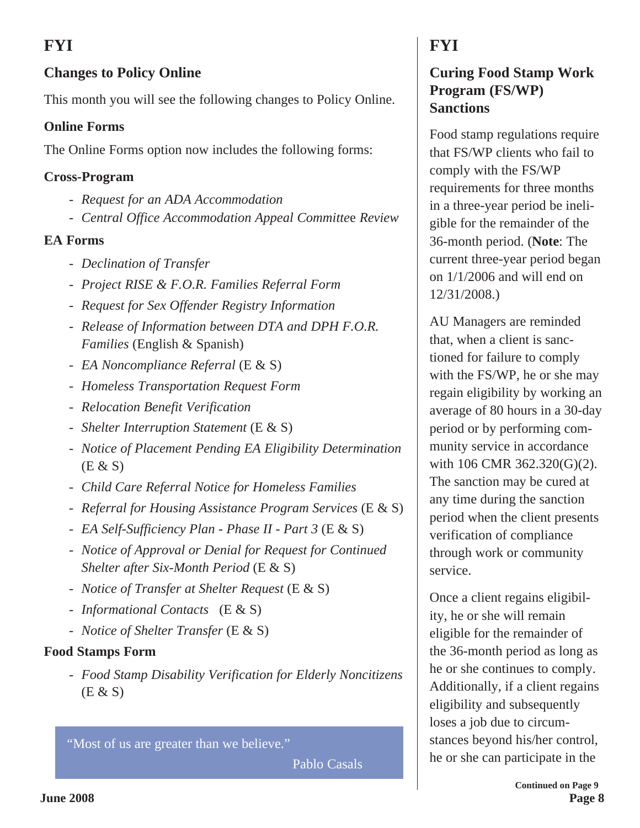## **FYI**

## **Changes to Policy Online**

This month you will see the following changes to Policy Online.

#### **Online Forms**

The Online Forms option now includes the following forms:

#### **Cross-Program**

- *Request for an ADA Accommodation*
- *Central Office Accommodation Appeal Committe*e *Review*

## **EA Forms**

- *Declination of Transfer*
- *Project RISE & F.O.R. Families Referral Form*
- *Request for Sex Offender Registry Information*
- *Release of Information between DTA and DPH F.O.R. Families* (English & Spanish)
- *EA Noncompliance Referral* (E & S)
- *Homeless Transportation Request Form*
- *Relocation Benefit Verification*
- *Shelter Interruption Statement* (E & S)
- *Notice of Placement Pending EA Eligibility Determination* (E & S)
- *Child Care Referral Notice for Homeless Families*
- *Referral for Housing Assistance Program Services* (E & S)
- *EA Self-Sufficiency Plan Phase II Part 3* (E & S)
- *Notice of Approval or Denial for Request for Continued Shelter after Six-Month Period* (E & S)
- *Notice of Transfer at Shelter Request* (E & S)
- *Informational Contacts* (E & S)
- *Notice of Shelter Transfer* (E & S)

## **Food Stamps Form**

- *Food Stamp Disability Verification for Elderly Noncitizens* (E & S)

"Most of us are greater than we believe."

Pablo Casals

## **FYI**

## **Curing Food Stamp Work Program (FS/WP) Sanctions**

Food stamp regulations require that FS/WP clients who fail to comply with the FS/WP requirements for three months in a three-year period be ineligible for the remainder of the 36-month period. (**Note**: The current three-year period began on 1/1/2006 and will end on 12/31/2008.)

AU Managers are reminded that, when a client is sanctioned for failure to comply with the FS/WP, he or she may regain eligibility by working an average of 80 hours in a 30-day period or by performing community service in accordance with 106 CMR 362.320(G)(2). The sanction may be cured at any time during the sanction period when the client presents verification of compliance through work or community service.

Once a client regains eligibility, he or she will remain eligible for the remainder of the 36-month period as long as he or she continues to comply. Additionally, if a client regains eligibility and subsequently loses a job due to circumstances beyond his/her control, he or she can participate in the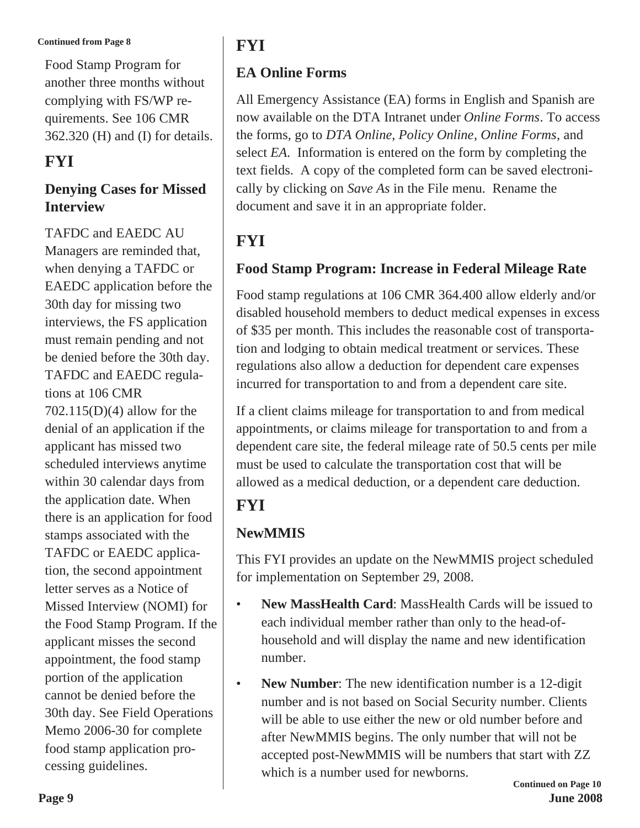#### **Continued from Page 8 FYI**

Food Stamp Program for another three months without complying with FS/WP requirements. See 106 CMR 362.320 (H) and (I) for details.

## **FYI**

#### **Denying Cases for Missed Interview**

TAFDC and EAEDC AU Managers are reminded that, when denying a TAFDC or EAEDC application before the 30th day for missing two interviews, the FS application must remain pending and not be denied before the 30th day. TAFDC and EAEDC regulations at 106 CMR 702.115(D)(4) allow for the denial of an application if the applicant has missed two scheduled interviews anytime within 30 calendar days from the application date. When there is an application for food stamps associated with the TAFDC or EAEDC application, the second appointment letter serves as a Notice of Missed Interview (NOMI) for the Food Stamp Program. If the applicant misses the second appointment, the food stamp portion of the application cannot be denied before the 30th day. See Field Operations Memo 2006-30 for complete food stamp application processing guidelines.

## **EA Online Forms**

All Emergency Assistance (EA) forms in English and Spanish are now available on the DTA Intranet under *Online Forms*. To access the forms, go to *DTA Online*, *Policy Online*, *Online Forms*, and select *EA*. Information is entered on the form by completing the text fields. A copy of the completed form can be saved electronically by clicking on *Save As* in the File menu. Rename the document and save it in an appropriate folder.

## **FYI**

## **Food Stamp Program: Increase in Federal Mileage Rate**

Food stamp regulations at 106 CMR 364.400 allow elderly and/or disabled household members to deduct medical expenses in excess of \$35 per month. This includes the reasonable cost of transportation and lodging to obtain medical treatment or services. These regulations also allow a deduction for dependent care expenses incurred for transportation to and from a dependent care site.

If a client claims mileage for transportation to and from medical appointments, or claims mileage for transportation to and from a dependent care site, the federal mileage rate of 50.5 cents per mile must be used to calculate the transportation cost that will be allowed as a medical deduction, or a dependent care deduction.

## **FYI**

## **NewMMIS**

This FYI provides an update on the NewMMIS project scheduled for implementation on September 29, 2008.

- **New MassHealth Card:** MassHealth Cards will be issued to each individual member rather than only to the head-ofhousehold and will display the name and new identification number.
- **New Number:** The new identification number is a 12-digit number and is not based on Social Security number. Clients will be able to use either the new or old number before and after NewMMIS begins. The only number that will not be accepted post-NewMMIS will be numbers that start with ZZ which is a number used for newborns.